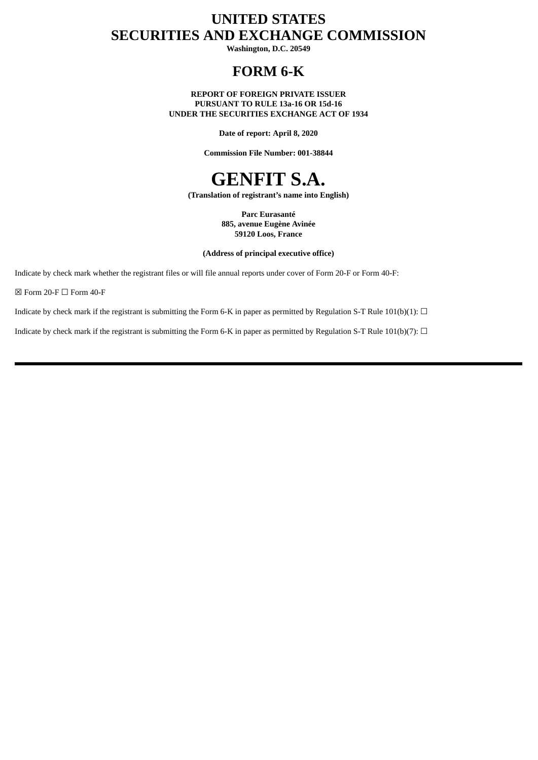# **UNITED STATES SECURITIES AND EXCHANGE COMMISSION**

**Washington, D.C. 20549**

## **FORM 6-K**

**REPORT OF FOREIGN PRIVATE ISSUER PURSUANT TO RULE 13a-16 OR 15d-16 UNDER THE SECURITIES EXCHANGE ACT OF 1934**

**Date of report: April 8, 2020**

**Commission File Number: 001-38844**

# **GENFIT S.A.**

**(Translation of registrant's name into English)**

**Parc Eurasanté 885, avenue Eugène Avinée 59120 Loos, France**

**(Address of principal executive office)**

Indicate by check mark whether the registrant files or will file annual reports under cover of Form 20-F or Form 40-F:

 $\boxtimes$  Form 20-F  $\Box$  Form 40-F

Indicate by check mark if the registrant is submitting the Form 6-K in paper as permitted by Regulation S-T Rule 101(b)(1):  $\Box$ 

Indicate by check mark if the registrant is submitting the Form 6-K in paper as permitted by Regulation S-T Rule 101(b)(7):  $\Box$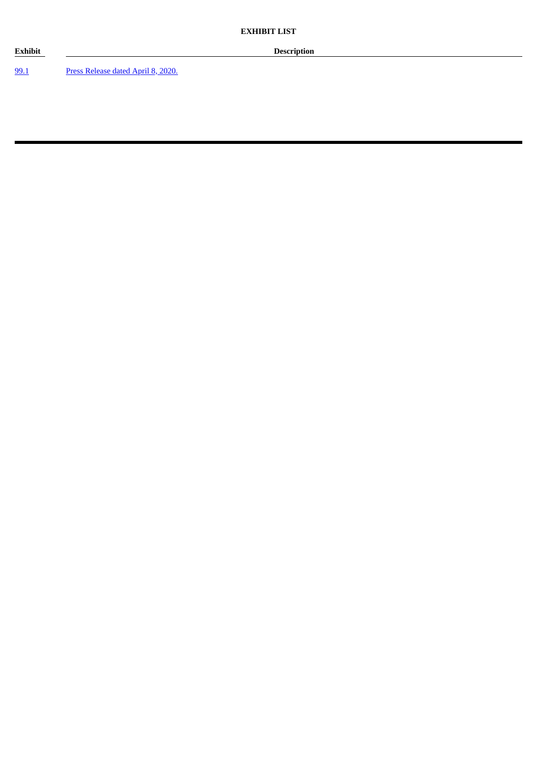[99.1](#page-3-0) Press [Release](#page-3-0) dated April 8, 2020.

**Exhibit Description**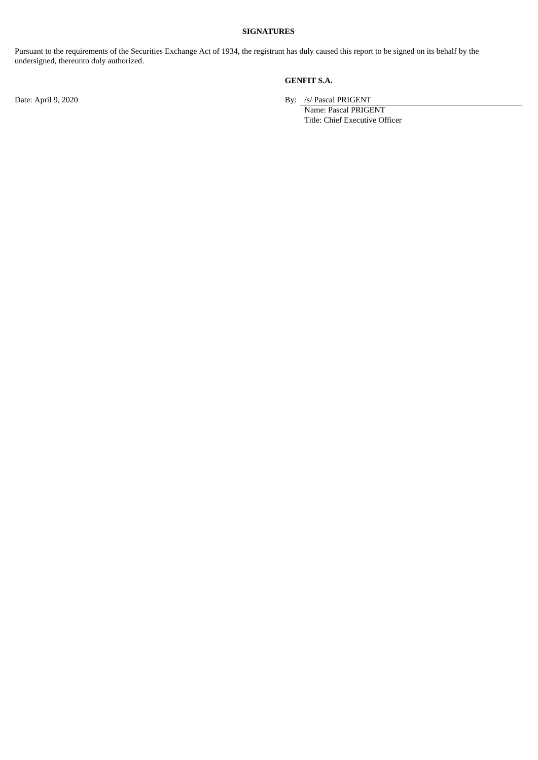#### **SIGNATURES**

Pursuant to the requirements of the Securities Exchange Act of 1934, the registrant has duly caused this report to be signed on its behalf by the undersigned, thereunto duly authorized.

#### **GENFIT S.A.**

Date: April 9, 2020 By: /s/ Pascal PRIGENT

Name: Pascal PRIGENT Title: Chief Executive Officer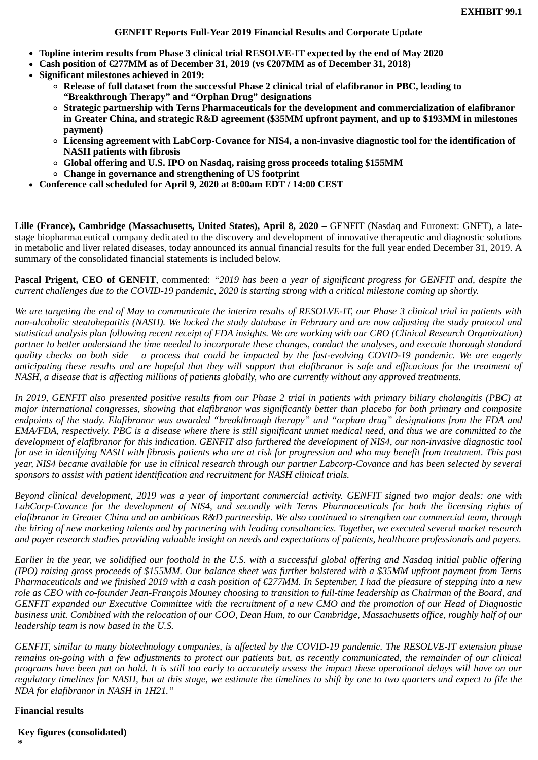- <span id="page-3-0"></span>**Topline interim results from Phase 3 clinical trial RESOLVE-IT expected by the end of May 2020**
- **Cash position of €277MM as of December 31, 2019 (vs €207MM as of December 31, 2018)**
- **Significant milestones achieved in 2019:**
	- **Release of full dataset from the successful Phase 2 clinical trial of elafibranor in PBC, leading to "Breakthrough Therapy" and "Orphan Drug" designations**
	- **Strategic partnership with Terns Pharmaceuticals for the development and commercialization of elafibranor in Greater China, and strategic R&D agreement (\$35MM upfront payment, and up to \$193MM in milestones payment)**
	- **Licensing agreement with LabCorp-Covance for NIS4, a non-invasive diagnostic tool for the identification of NASH patients with fibrosis**
	- **Global offering and U.S. IPO on Nasdaq, raising gross proceeds totaling \$155MM**
	- **Change in governance and strengthening of US footprint**
- **Conference call scheduled for April 9, 2020 at 8:00am EDT / 14:00 CEST**

**Lille (France), Cambridge (Massachusetts, United States), April 8, 2020** – GENFIT (Nasdaq and Euronext: GNFT), a latestage biopharmaceutical company dedicated to the discovery and development of innovative therapeutic and diagnostic solutions in metabolic and liver related diseases, today announced its annual financial results for the full year ended December 31, 2019. A summary of the consolidated financial statements is included below.

**Pascal Prigent, CEO of GENFIT**, commented: *"2019 has been a year of significant progress for GENFIT and, despite the current challenges due to the COVID-19 pandemic, 2020 is starting strong with a critical milestone coming up shortly.*

*We are targeting the end of May to communicate the interim results of RESOLVE-IT, our Phase 3 clinical trial in patients with non-alcoholic steatohepatitis (NASH). We locked the study database in February and are now adjusting the study protocol and statistical analysis plan following recent receipt of FDA insights. We are working with our CRO (Clinical Research Organization) partner to better understand the time needed to incorporate these changes, conduct the analyses, and execute thorough standard quality checks on both side – a process that could be impacted by the fast-evolving COVID-19 pandemic. We are eagerly anticipating these results and are hopeful that they will support that elafibranor is safe and efficacious for the treatment of NASH, a disease that is affecting millions of patients globally, who are currently without any approved treatments.*

*In 2019, GENFIT also presented positive results from our Phase 2 trial in patients with primary biliary cholangitis (PBC) at major international congresses, showing that elafibranor was significantly better than placebo for both primary and composite endpoints of the study. Elafibranor was awarded "breakthrough therapy" and "orphan drug" designations from the FDA and EMA/FDA, respectively. PBC is a disease where there is still significant unmet medical need, and thus we are committed to the development of elafibranor for this indication. GENFIT also furthered the development of NIS4, our non-invasive diagnostic tool for use in identifying NASH with fibrosis patients who are at risk for progression and who may benefit from treatment. This past year, NIS4 became available for use in clinical research through our partner Labcorp-Covance and has been selected by several sponsors to assist with patient identification and recruitment for NASH clinical trials.*

*Beyond clinical development, 2019 was a year of important commercial activity. GENFIT signed two major deals: one with LabCorp-Covance for the development of NIS4, and secondly with Terns Pharmaceuticals for both the licensing rights of elafibranor in Greater China and an ambitious R&D partnership. We also continued to strengthen our commercial team, through the hiring of new marketing talents and by partnering with leading consultancies. Together, we executed several market research and payer research studies providing valuable insight on needs and expectations of patients, healthcare professionals and payers.*

*Earlier in the year, we solidified our foothold in the U.S. with a successful global offering and Nasdaq initial public offering (IPO) raising gross proceeds of \$155MM. Our balance sheet was further bolstered with a \$35MM upfront payment from Terns Pharmaceuticals and we finished 2019 with a cash position of €277MM. In September, I had the pleasure of stepping into a new role as CEO with co-founder Jean-François Mouney choosing to transition to full-time leadership as Chairman of the Board, and GENFIT expanded our Executive Committee with the recruitment of a new CMO and the promotion of our Head of Diagnostic business unit. Combined with the relocation of our COO, Dean Hum, to our Cambridge, Massachusetts office, roughly half of our leadership team is now based in the U.S.*

*GENFIT, similar to many biotechnology companies, is affected by the COVID-19 pandemic. The RESOLVE-IT extension phase remains on-going with a few adjustments to protect our patients but, as recently communicated, the remainder of our clinical programs have been put on hold. It is still too early to accurately assess the impact these operational delays will have on our regulatory timelines for NASH, but at this stage, we estimate the timelines to shift by one to two quarters and expect to file the NDA for elafibranor in NASH in 1H21."*

#### **Financial results**

**\***

**Key figures (consolidated)**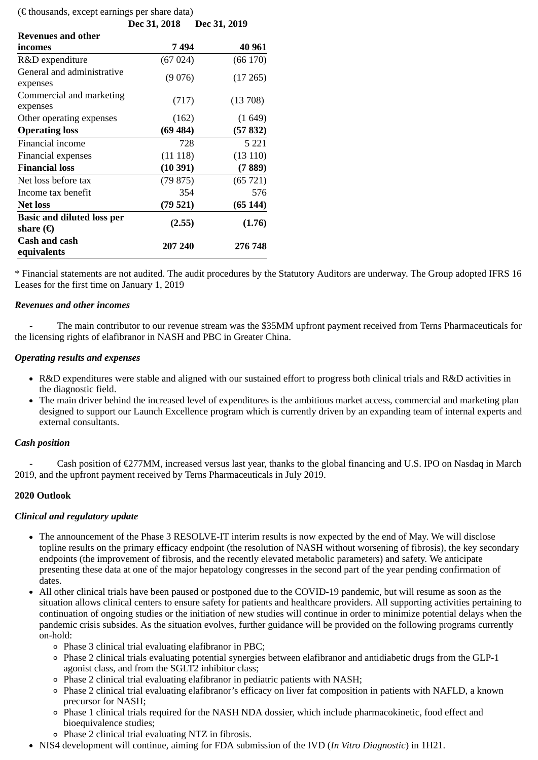| $(\epsilon$ thousands, except earnings per share data) |              |              |  |
|--------------------------------------------------------|--------------|--------------|--|
|                                                        | Dec 31, 2018 | Dec 31, 2019 |  |
| <b>Revenues and other</b>                              |              |              |  |
| incomes                                                | 7 494        | 40 961       |  |
| R&D expenditure                                        | (67024)      | (66 170)     |  |
| General and administrative                             | (9076)       | (17265)      |  |
| expenses                                               |              |              |  |
| Commercial and marketing                               | (717)        | (13708)      |  |
| expenses                                               |              |              |  |
| Other operating expenses                               | (162)        | (1649)       |  |
| <b>Operating loss</b>                                  | (69484)      | (57832)      |  |
| Financial income                                       | 728          | 5 2 2 1      |  |
| Financial expenses                                     | (11118)      | (13110)      |  |
| <b>Financial loss</b>                                  | (10391)      | (7889)       |  |
| Net loss before tax                                    | (79875)      | (65721)      |  |
| Income tax benefit                                     | 354          | 576          |  |
| <b>Net loss</b>                                        | (79521)      | (65144)      |  |
| <b>Basic and diluted loss per</b>                      | (2.55)       |              |  |
| share $(\epsilon)$                                     |              | (1.76)       |  |
| <b>Cash and cash</b>                                   | 207 240      | 276 748      |  |
| equivalents                                            |              |              |  |

\* Financial statements are not audited. The audit procedures by the Statutory Auditors are underway. The Group adopted IFRS 16 Leases for the first time on January 1, 2019

#### *Revenues and other incomes*

The main contributor to our revenue stream was the \$35MM upfront payment received from Terns Pharmaceuticals for the licensing rights of elafibranor in NASH and PBC in Greater China.

#### *Operating results and expenses*

- R&D expenditures were stable and aligned with our sustained effort to progress both clinical trials and R&D activities in the diagnostic field.
- The main driver behind the increased level of expenditures is the ambitious market access, commercial and marketing plan designed to support our Launch Excellence program which is currently driven by an expanding team of internal experts and external consultants.

#### *Cash position*

Cash position of  $\epsilon$ 277MM, increased versus last year, thanks to the global financing and U.S. IPO on Nasdaq in March 2019, and the upfront payment received by Terns Pharmaceuticals in July 2019.

#### **2020 Outlook**

#### *Clinical and regulatory update*

- The announcement of the Phase 3 RESOLVE-IT interim results is now expected by the end of May. We will disclose topline results on the primary efficacy endpoint (the resolution of NASH without worsening of fibrosis), the key secondary endpoints (the improvement of fibrosis, and the recently elevated metabolic parameters) and safety. We anticipate presenting these data at one of the major hepatology congresses in the second part of the year pending confirmation of dates.
- All other clinical trials have been paused or postponed due to the COVID-19 pandemic, but will resume as soon as the situation allows clinical centers to ensure safety for patients and healthcare providers. All supporting activities pertaining to continuation of ongoing studies or the initiation of new studies will continue in order to minimize potential delays when the pandemic crisis subsides. As the situation evolves, further guidance will be provided on the following programs currently on-hold:
	- Phase 3 clinical trial evaluating elafibranor in PBC;
	- Phase 2 clinical trials evaluating potential synergies between elafibranor and antidiabetic drugs from the GLP-1 agonist class, and from the SGLT2 inhibitor class;
	- Phase 2 clinical trial evaluating elafibranor in pediatric patients with NASH;
	- Phase 2 clinical trial evaluating elafibranor's efficacy on liver fat composition in patients with NAFLD, a known precursor for NASH;
	- Phase 1 clinical trials required for the NASH NDA dossier, which include pharmacokinetic, food effect and bioequivalence studies;
	- Phase 2 clinical trial evaluating NTZ in fibrosis.
- NIS4 development will continue, aiming for FDA submission of the IVD (*In Vitro Diagnostic*) in 1H21.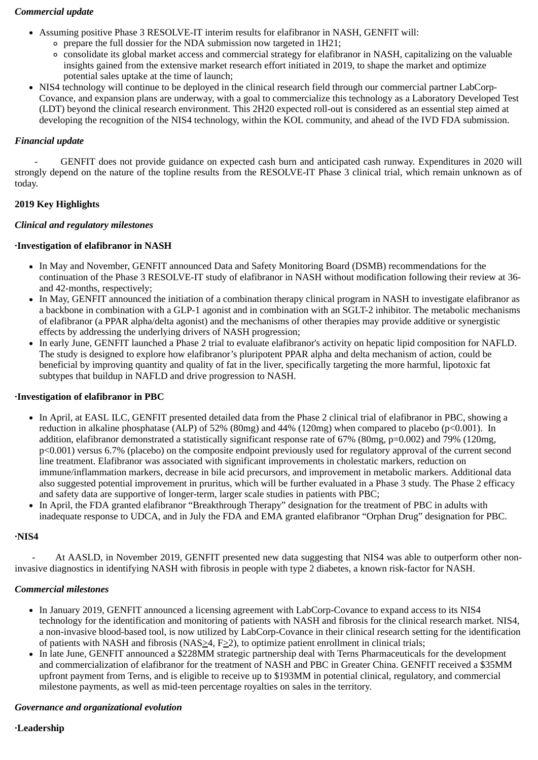#### *Commercial update*

- Assuming positive Phase 3 RESOLVE-IT interim results for elafibranor in NASH, GENFIT will:
	- $\circ$  prepare the full dossier for the NDA submission now targeted in 1H21;
	- consolidate its global market access and commercial strategy for elafibranor in NASH, capitalizing on the valuable insights gained from the extensive market research effort initiated in 2019, to shape the market and optimize potential sales uptake at the time of launch;
- NIS4 technology will continue to be deployed in the clinical research field through our commercial partner LabCorp-Covance, and expansion plans are underway, with a goal to commercialize this technology as a Laboratory Developed Test (LDT) beyond the clinical research environment. This 2H20 expected roll-out is considered as an essential step aimed at developing the recognition of the NIS4 technology, within the KOL community, and ahead of the IVD FDA submission.

#### *Financial update*

- GENFIT does not provide guidance on expected cash burn and anticipated cash runway. Expenditures in 2020 will strongly depend on the nature of the topline results from the RESOLVE-IT Phase 3 clinical trial, which remain unknown as of today.

#### **2019 Key Highlights**

#### *Clinical and regulatory milestones*

#### **·Investigation of elafibranor in NASH**

- In May and November, GENFIT announced Data and Safety Monitoring Board (DSMB) recommendations for the continuation of the Phase 3 RESOLVE-IT study of elafibranor in NASH without modification following their review at 36 and 42-months, respectively;
- In May, GENFIT announced the initiation of a combination therapy clinical program in NASH to investigate elafibranor as a backbone in combination with a GLP-1 agonist and in combination with an SGLT-2 inhibitor. The metabolic mechanisms of elafibranor (a PPAR alpha/delta agonist) and the mechanisms of other therapies may provide additive or synergistic effects by addressing the underlying drivers of NASH progression;
- In early June, GENFIT launched a Phase 2 trial to evaluate elafibranor's activity on hepatic lipid composition for NAFLD. The study is designed to explore how elafibranor's pluripotent PPAR alpha and delta mechanism of action, could be beneficial by improving quantity and quality of fat in the liver, specifically targeting the more harmful, lipotoxic fat subtypes that buildup in NAFLD and drive progression to NASH.

#### **·Investigation of elafibranor in PBC**

- In April, at EASL ILC, GENFIT presented detailed data from the Phase 2 clinical trial of elafibranor in PBC, showing a reduction in alkaline phosphatase (ALP) of 52% (80mg) and 44% (120mg) when compared to placebo (p<0.001). In addition, elafibranor demonstrated a statistically significant response rate of 67% (80mg, p=0.002) and 79% (120mg, p<0.001) versus 6.7% (placebo) on the composite endpoint previously used for regulatory approval of the current second line treatment. Elafibranor was associated with significant improvements in cholestatic markers, reduction on immune/inflammation markers, decrease in bile acid precursors, and improvement in metabolic markers. Additional data also suggested potential improvement in pruritus, which will be further evaluated in a Phase 3 study. The Phase 2 efficacy and safety data are supportive of longer-term, larger scale studies in patients with PBC;
- In April, the FDA granted elafibranor "Breakthrough Therapy" designation for the treatment of PBC in adults with inadequate response to UDCA, and in July the FDA and EMA granted elafibranor "Orphan Drug" designation for PBC.

#### **·NIS4**

At AASLD, in November 2019, GENFIT presented new data suggesting that NIS4 was able to outperform other noninvasive diagnostics in identifying NASH with fibrosis in people with type 2 diabetes, a known risk-factor for NASH.

#### *Commercial milestones*

- In January 2019, GENFIT announced a licensing agreement with LabCorp-Covance to expand access to its NIS4 technology for the identification and monitoring of patients with NASH and fibrosis for the clinical research market. NIS4, a non-invasive blood-based tool, is now utilized by LabCorp-Covance in their clinical research setting for the identification of patients with NASH and fibrosis (NAS>4, F>2), to optimize patient enrollment in clinical trials;
- In late June, GENFIT announced a \$228MM strategic partnership deal with Terns Pharmaceuticals for the development and commercialization of elafibranor for the treatment of NASH and PBC in Greater China. GENFIT received a \$35MM upfront payment from Terns, and is eligible to receive up to \$193MM in potential clinical, regulatory, and commercial milestone payments, as well as mid-teen percentage royalties on sales in the territory.

#### *Governance and organizational evolution*

#### **·Leadership**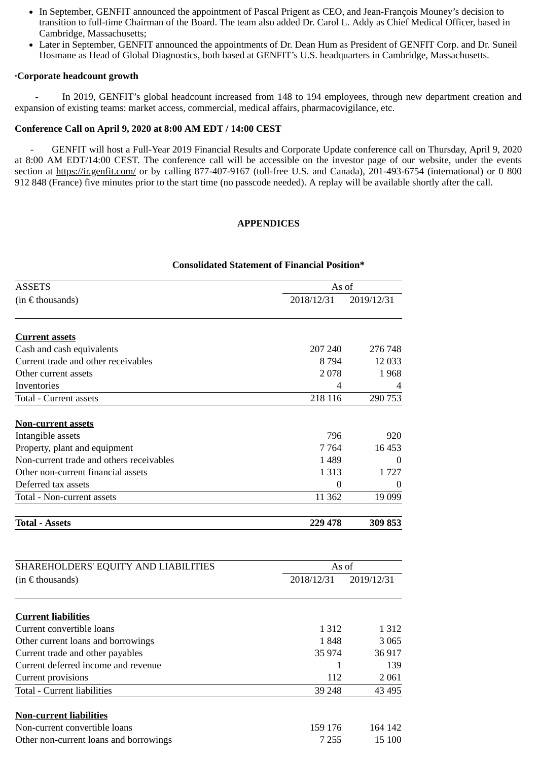- In September, GENFIT announced the appointment of Pascal Prigent as CEO, and Jean-François Mouney's decision to transition to full-time Chairman of the Board. The team also added Dr. Carol L. Addy as Chief Medical Officer, based in Cambridge, Massachusetts;
- Later in September, GENFIT announced the appointments of Dr. Dean Hum as President of GENFIT Corp. and Dr. Suneil Hosmane as Head of Global Diagnostics, both based at GENFIT's U.S. headquarters in Cambridge, Massachusetts.

#### **·Corporate headcount growth**

In 2019, GENFIT's global headcount increased from 148 to 194 employees, through new department creation and expansion of existing teams: market access, commercial, medical affairs, pharmacovigilance, etc.

#### **Conference Call on April 9, 2020 at 8:00 AM EDT / 14:00 CEST**

- GENFIT will host a Full-Year 2019 Financial Results and Corporate Update conference call on Thursday, April 9, 2020 at 8:00 AM EDT/14:00 CEST. The conference call will be accessible on the investor page of our website, under the events section at https://ir.genfit.com/ or by calling 877-407-9167 (toll-free U.S. and Canada), 201-493-6754 (international) or 0 800 912 848 (France) five minutes prior to the start time (no passcode needed). A replay will be available shortly after the call.

#### **APPENDICES**

#### **Consolidated Statement of Financial Position\***

| $(in \in$ thousands)                     |            |                |
|------------------------------------------|------------|----------------|
|                                          | 2018/12/31 | 2019/12/31     |
| <b>Current assets</b>                    |            |                |
| Cash and cash equivalents                | 207 240    | 276 748        |
| Current trade and other receivables      | 8 7 9 4    | 12 0 33        |
| Other current assets                     | 2078       | 1968           |
| Inventories                              | 4          | $\overline{4}$ |
| Total - Current assets                   | 218 116    | 290 753        |
| <b>Non-current assets</b>                |            |                |
| Intangible assets                        | 796        | 920            |
| Property, plant and equipment            | 7 7 6 4    | 16 453         |
| Non-current trade and others receivables | 1 4 8 9    | $\Omega$       |
| Other non-current financial assets       | 1 3 1 3    | 1 7 2 7        |
| Deferred tax assets                      | $\theta$   | $\Omega$       |
| Total - Non-current assets               | 11 3 62    | 19 099         |
| <b>Total - Assets</b>                    | 229 478    | 309 853        |
|                                          |            |                |
| SHAREHOLDERS' EQUITY AND LIABILITIES     | As of      |                |
| (in $\epsilon$ thousands)                | 2018/12/31 | 2019/12/31     |

| <b>Current liabilities</b>             |         |         |
|----------------------------------------|---------|---------|
| Current convertible loans              | 1 3 1 2 | 1 3 1 2 |
| Other current loans and borrowings     | 1848    | 3 0 6 5 |
| Current trade and other payables       | 35 974  | 36 917  |
| Current deferred income and revenue    |         | 139     |
| Current provisions                     | 112     | 2 0 6 1 |
| Total - Current liabilities            | 39 248  | 43 4 95 |
| <b>Non-current liabilities</b>         |         |         |
| Non-current convertible loans          | 159 176 | 164 142 |
| Other non-current loans and borrowings | 7 2 5 5 | 15 100  |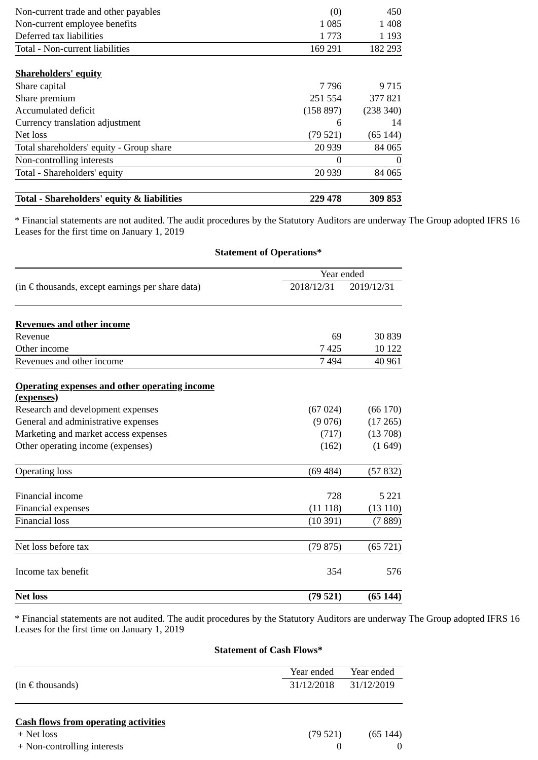| Non-current trade and other payables       | (0)       | 450       |
|--------------------------------------------|-----------|-----------|
| Non-current employee benefits              | 1 085     | 1 4 0 8   |
| Deferred tax liabilities                   | 1 773     | 1 1 9 3   |
| Total - Non-current liabilities            | 169 291   | 182 293   |
| <b>Shareholders' equity</b>                |           |           |
| Share capital                              | 7 796     | 9 7 1 5   |
| Share premium                              | 251 554   | 377 821   |
| Accumulated deficit                        | (158 897) | (238 340) |
| Currency translation adjustment            | 6         | 14        |
| Net loss                                   | (79521)   | (65144)   |
| Total shareholders' equity - Group share   | 20 939    | 84 065    |
| Non-controlling interests                  | $\Omega$  | $\theta$  |
| Total - Shareholders' equity               | 20 9 39   | 84 065    |
| Total - Shareholders' equity & liabilities | 229 478   | 309 853   |

\* Financial statements are not audited. The audit procedures by the Statutory Auditors are underway The Group adopted IFRS 16 Leases for the first time on January 1, 2019

**Statement of Operations\***

|                                                           | Year ended |            |
|-----------------------------------------------------------|------------|------------|
| (in $\epsilon$ thousands, except earnings per share data) | 2018/12/31 | 2019/12/31 |
| <b>Revenues and other income</b>                          |            |            |
| Revenue                                                   | 69         | 30 839     |
| Other income                                              | 7425       | 10 122     |
| Revenues and other income                                 | 7494       | 40 961     |
| <b>Operating expenses and other operating income</b>      |            |            |
| (expenses)                                                |            |            |
| Research and development expenses                         | (67024)    | (66170)    |
| General and administrative expenses                       | (9076)     | (17265)    |
| Marketing and market access expenses                      | (717)      | (13708)    |
| Other operating income (expenses)                         | (162)      | (1649)     |
| <b>Operating loss</b>                                     | (69484)    | (57832)    |
| Financial income                                          | 728        | 5 2 2 1    |
| Financial expenses                                        | (11118)    | (13110)    |
| <b>Financial loss</b>                                     | (10391)    | (7889)     |
| Net loss before tax                                       | (79875)    | (65721)    |
| Income tax benefit                                        | 354        | 576        |
| <b>Net loss</b>                                           | (79521)    | (65144)    |

\* Financial statements are not audited. The audit procedures by the Statutory Auditors are underway The Group adopted IFRS 16 Leases for the first time on January 1, 2019

### **Statement of Cash Flows\***

|                      | Year ended | Year ended |
|----------------------|------------|------------|
| $(in \in$ thousands) | 31/12/2018 | 31/12/2019 |
|                      |            |            |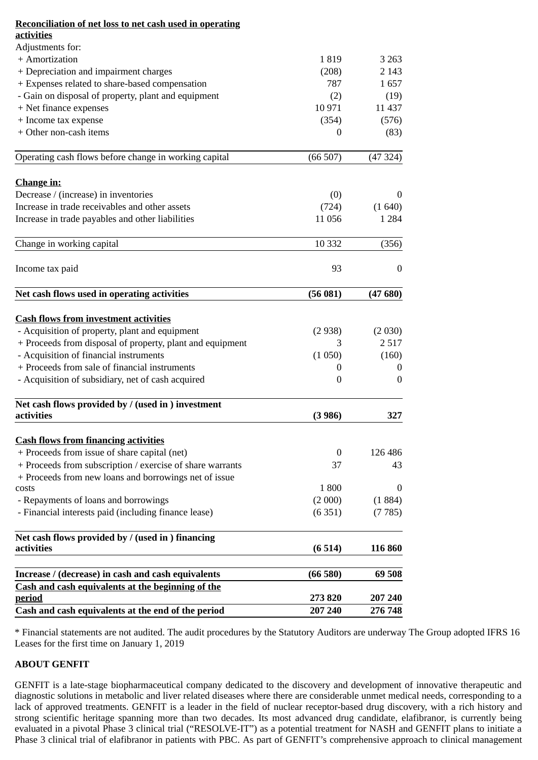| <b>Reconciliation of net loss to net cash used in operating</b>           |                  |                  |
|---------------------------------------------------------------------------|------------------|------------------|
| <b>activities</b>                                                         |                  |                  |
| Adjustments for:                                                          |                  |                  |
| + Amortization                                                            | 1819             | 3 2 6 3          |
| + Depreciation and impairment charges                                     | (208)            | 2 143            |
| + Expenses related to share-based compensation                            | 787              | 1657             |
| - Gain on disposal of property, plant and equipment                       | (2)              | (19)             |
| + Net finance expenses                                                    | 10 971           | 11 4 37          |
| + Income tax expense                                                      | (354)            | (576)            |
| + Other non-cash items                                                    | 0                | (83)             |
| Operating cash flows before change in working capital                     | (66507)          | (47324)          |
| <b>Change in:</b>                                                         |                  |                  |
| Decrease / (increase) in inventories                                      | (0)              | 0                |
| Increase in trade receivables and other assets                            | (724)            | (1640)           |
| Increase in trade payables and other liabilities                          | 11 056           | 1 2 8 4          |
| Change in working capital                                                 | 10 3 32          | (356)            |
|                                                                           | 93               | $\boldsymbol{0}$ |
| Income tax paid                                                           |                  |                  |
| Net cash flows used in operating activities                               | (56081)          | (47680)          |
| <b>Cash flows from investment activities</b>                              |                  |                  |
| - Acquisition of property, plant and equipment                            | (2938)           | (2 030)          |
| + Proceeds from disposal of property, plant and equipment                 | 3                | 2 5 1 7          |
| - Acquisition of financial instruments                                    | (1050)           | (160)            |
| + Proceeds from sale of financial instruments                             | 0                | O                |
| - Acquisition of subsidiary, net of cash acquired                         | $\boldsymbol{0}$ | $\overline{0}$   |
| Net cash flows provided by / (used in ) investment                        |                  |                  |
| activities                                                                | (3986)           | 327              |
| <b>Cash flows from financing activities</b>                               |                  |                  |
| + Proceeds from issue of share capital (net)                              | $\bf{0}$         | 126 486          |
| + Proceeds from subscription / exercise of share warrants                 | 37               | 43               |
| + Proceeds from new loans and borrowings net of issue                     |                  |                  |
| costs                                                                     | 1800             | $\theta$         |
| - Repayments of loans and borrowings                                      | (2000)           | (1884)           |
| - Financial interests paid (including finance lease)                      | (6351)           | (7785)           |
| Net cash flows provided by / (used in ) financing                         |                  |                  |
| activities                                                                | (6514)           | 116 860          |
| Increase / (decrease) in cash and cash equivalents                        | (66580)          | 69 508           |
| <b>Cash and cash equivalents at the beginning of the</b><br><u>period</u> | 273 820          | 207 240          |
| Cash and cash equivalents at the end of the period                        | 207 240          | 276 748          |
|                                                                           |                  |                  |

\* Financial statements are not audited. The audit procedures by the Statutory Auditors are underway The Group adopted IFRS 16 Leases for the first time on January 1, 2019

#### **ABOUT GENFIT**

GENFIT is a late-stage biopharmaceutical company dedicated to the discovery and development of innovative therapeutic and diagnostic solutions in metabolic and liver related diseases where there are considerable unmet medical needs, corresponding to a lack of approved treatments. GENFIT is a leader in the field of nuclear receptor-based drug discovery, with a rich history and strong scientific heritage spanning more than two decades. Its most advanced drug candidate, elafibranor, is currently being evaluated in a pivotal Phase 3 clinical trial ("RESOLVE-IT") as a potential treatment for NASH and GENFIT plans to initiate a Phase 3 clinical trial of elafibranor in patients with PBC. As part of GENFIT's comprehensive approach to clinical management